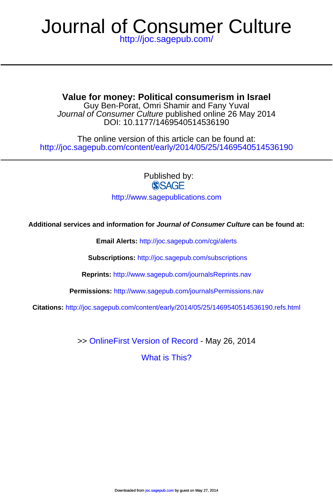## <http://joc.sagepub.com/> Journal of Consumer Culture

## **Value for money: Political consumerism in Israel**

DOI: 10.1177/1469540514536190 Journal of Consumer Culture published online 26 May 2014 Guy Ben-Porat, Omri Shamir and Fany Yuval

<http://joc.sagepub.com/content/early/2014/05/25/1469540514536190> The online version of this article can be found at:

> Published by:<br>
> SAGE <http://www.sagepublications.com>

**Additional services and information for Journal of Consumer Culture can be found at:**

**Email Alerts:** <http://joc.sagepub.com/cgi/alerts>

**Subscriptions:** <http://joc.sagepub.com/subscriptions>

**Reprints:** <http://www.sagepub.com/journalsReprints.nav>

**Permissions:** <http://www.sagepub.com/journalsPermissions.nav>

**Citations:** <http://joc.sagepub.com/content/early/2014/05/25/1469540514536190.refs.html>

>> [OnlineFirst Version of Record -](http://joc.sagepub.com/content/early/2014/05/25/1469540514536190.full.pdf) May 26, 2014

[What is This?](http://online.sagepub.com/site/sphelp/vorhelp.xhtml)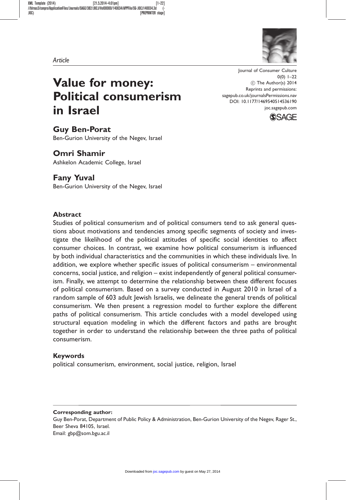

# Value for money: Political consumerism in Israel

Journal of Consumer Culture 0(0) 1–22  $\circ$  The Author(s) 2014 Reprints and permissions: sagepub.co.uk/journalsPermissions.nav DOI: 10.1177/1469540514536190 joc.sagepub.com



## Guy Ben-Porat

Ben-Gurion University of the Negev, Israel

## Omri Shamir

Ashkelon Academic College, Israel

## Fany Yuval

Ben-Gurion University of the Negev, Israel

## Abstract

Studies of political consumerism and of political consumers tend to ask general questions about motivations and tendencies among specific segments of society and investigate the likelihood of the political attitudes of specific social identities to affect consumer choices. In contrast, we examine how political consumerism is influenced by both individual characteristics and the communities in which these individuals live. In addition, we explore whether specific issues of political consumerism – environmental concerns, social justice, and religion – exist independently of general political consumerism. Finally, we attempt to determine the relationship between these different focuses of political consumerism. Based on a survey conducted in August 2010 in Israel of a random sample of 603 adult Jewish Israelis, we delineate the general trends of political consumerism. We then present a regression model to further explore the different paths of political consumerism. This article concludes with a model developed using structural equation modeling in which the different factors and paths are brought together in order to understand the relationship between the three paths of political consumerism.

## Keywords

political consumerism, environment, social justice, religion, Israel

#### Corresponding author:

Guy Ben-Porat, Department of Public Policy & Administration, Ben-Gurion University of the Negev, Rager St., Beer Sheva 84105, Israel. Email: gbp@som.bgu.ac.il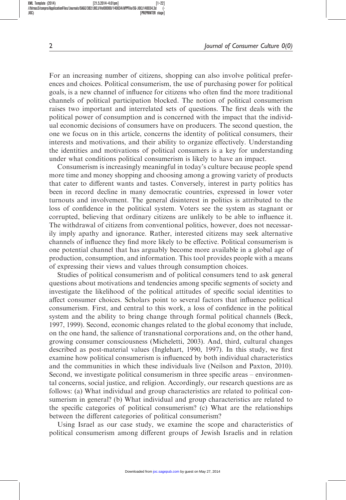For an increasing number of citizens, shopping can also involve political preferences and choices. Political consumerism, the use of purchasing power for political goals, is a new channel of influence for citizens who often find the more traditional channels of political participation blocked. The notion of political consumerism raises two important and interrelated sets of questions. The first deals with the political power of consumption and is concerned with the impact that the individual economic decisions of consumers have on producers. The second question, the one we focus on in this article, concerns the identity of political consumers, their interests and motivations, and their ability to organize effectively. Understanding the identities and motivations of political consumers is a key for understanding under what conditions political consumerism is likely to have an impact.

Consumerism is increasingly meaningful in today's culture because people spend more time and money shopping and choosing among a growing variety of products that cater to different wants and tastes. Conversely, interest in party politics has been in record decline in many democratic countries, expressed in lower voter turnouts and involvement. The general disinterest in politics is attributed to the loss of confidence in the political system. Voters see the system as stagnant or corrupted, believing that ordinary citizens are unlikely to be able to influence it. The withdrawal of citizens from conventional politics, however, does not necessarily imply apathy and ignorance. Rather, interested citizens may seek alternative channels of influence they find more likely to be effective. Political consumerism is one potential channel that has arguably become more available in a global age of production, consumption, and information. This tool provides people with a means of expressing their views and values through consumption choices.

Studies of political consumerism and of political consumers tend to ask general questions about motivations and tendencies among specific segments of society and investigate the likelihood of the political attitudes of specific social identities to affect consumer choices. Scholars point to several factors that influence political consumerism. First, and central to this work, a loss of confidence in the political system and the ability to bring change through formal political channels (Beck, 1997, 1999). Second, economic changes related to the global economy that include, on the one hand, the salience of transnational corporations and, on the other hand, growing consumer consciousness (Micheletti, 2003). And, third, cultural changes described as post-material values (Inglehart, 1990, 1997). In this study, we first examine how political consumerism is influenced by both individual characteristics and the communities in which these individuals live (Neilson and Paxton, 2010). Second, we investigate political consumerism in three specific areas – environmental concerns, social justice, and religion. Accordingly, our research questions are as follows: (a) What individual and group characteristics are related to political consumerism in general? (b) What individual and group characteristics are related to the specific categories of political consumerism? (c) What are the relationships between the different categories of political consumerism?

Using Israel as our case study, we examine the scope and characteristics of political consumerism among different groups of Jewish Israelis and in relation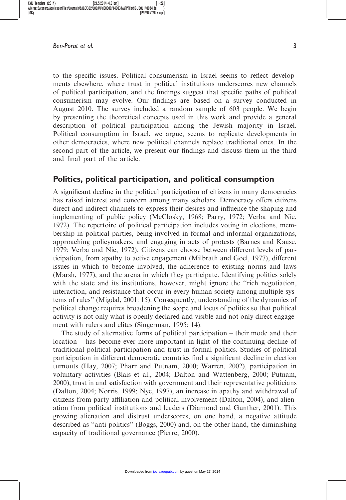to the specific issues. Political consumerism in Israel seems to reflect developments elsewhere, where trust in political institutions underscores new channels of political participation, and the findings suggest that specific paths of political consumerism may evolve. Our findings are based on a survey conducted in August 2010. The survey included a random sample of 603 people. We begin by presenting the theoretical concepts used in this work and provide a general description of political participation among the Jewish majority in Israel. Political consumption in Israel, we argue, seems to replicate developments in other democracies, where new political channels replace traditional ones. In the second part of the article, we present our findings and discuss them in the third and final part of the article.

## Politics, political participation, and political consumption

A significant decline in the political participation of citizens in many democracies has raised interest and concern among many scholars. Democracy offers citizens direct and indirect channels to express their desires and influence the shaping and implementing of public policy (McClosky, 1968; Parry, 1972; Verba and Nie, 1972). The repertoire of political participation includes voting in elections, membership in political parties, being involved in formal and informal organizations, approaching policymakers, and engaging in acts of protests (Barnes and Kaase, 1979; Verba and Nie, 1972). Citizens can choose between different levels of participation, from apathy to active engagement (Milbrath and Goel, 1977), different issues in which to become involved, the adherence to existing norms and laws (Marsh, 1977), and the arena in which they participate. Identifying politics solely with the state and its institutions, however, might ignore the "rich negotiation, interaction, and resistance that occur in every human society among multiple systems of rules'' (Migdal, 2001: 15). Consequently, understanding of the dynamics of political change requires broadening the scope and locus of politics so that political activity is not only what is openly declared and visible and not only direct engagement with rulers and elites (Singerman, 1995: 14).

The study of alternative forms of political participation – their mode and their location – has become ever more important in light of the continuing decline of traditional political participation and trust in formal politics. Studies of political participation in different democratic countries find a significant decline in election turnouts (Hay, 2007; Pharr and Putnam, 2000; Warren, 2002), participation in voluntary activities (Blais et al., 2004; Dalton and Wattenberg, 2000; Putnam, 2000), trust in and satisfaction with government and their representative politicians (Dalton, 2004; Norris, 1999; Nye, 1997), an increase in apathy and withdrawal of citizens from party affiliation and political involvement (Dalton, 2004), and alienation from political institutions and leaders (Diamond and Gunther, 2001). This growing alienation and distrust underscores, on one hand, a negative attitude described as ''anti-politics'' (Boggs, 2000) and, on the other hand, the diminishing capacity of traditional governance (Pierre, 2000).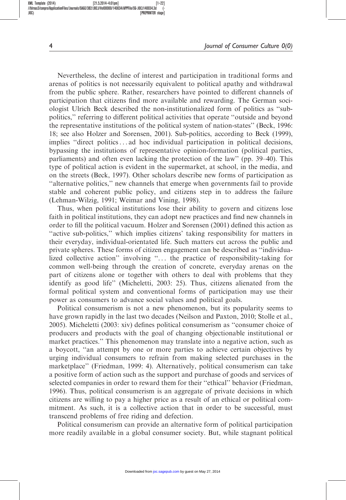Nevertheless, the decline of interest and participation in traditional forms and arenas of politics is not necessarily equivalent to political apathy and withdrawal from the public sphere. Rather, researchers have pointed to different channels of participation that citizens find more available and rewarding. The German sociologist Ulrich Beck described the non-institutionalized form of politics as ''subpolitics,'' referring to different political activities that operate ''outside and beyond the representative institutions of the political system of nation-states'' (Beck, 1996: 18; see also Holzer and Sorensen, 2001). Sub-politics, according to Beck (1999), implies ''direct politics... ad hoc individual participation in political decisions, bypassing the institutions of representative opinion-formation (political parties, parliaments) and often even lacking the protection of the law'' (pp. 39–40). This type of political action is evident in the supermarket, at school, in the media, and on the streets (Beck, 1997). Other scholars describe new forms of participation as ''alternative politics,'' new channels that emerge when governments fail to provide stable and coherent public policy, and citizens step in to address the failure (Lehman-Wilzig, 1991; Weimar and Vining, 1998).

Thus, when political institutions lose their ability to govern and citizens lose faith in political institutions, they can adopt new practices and find new channels in order to fill the political vacuum. Holzer and Sorensen (2001) defined this action as ''active sub-politics,'' which implies citizens' taking responsibility for matters in their everyday, individual-orientated life. Such matters cut across the public and private spheres. These forms of citizen engagement can be described as ''individualized collective action'' involving ''... the practice of responsibility-taking for common well-being through the creation of concrete, everyday arenas on the part of citizens alone or together with others to deal with problems that they identify as good life'' (Micheletti, 2003: 25). Thus, citizens alienated from the formal political system and conventional forms of participation may use their power as consumers to advance social values and political goals.

Political consumerism is not a new phenomenon, but its popularity seems to have grown rapidly in the last two decades (Neilson and Paxton, 2010; Stolle et al., 2005). Micheletti (2003: xiv) defines political consumerism as ''consumer choice of producers and products with the goal of changing objectionable institutional or market practices.'' This phenomenon may translate into a negative action, such as a boycott, ''an attempt by one or more parties to achieve certain objectives by urging individual consumers to refrain from making selected purchases in the marketplace'' (Friedman, 1999: 4). Alternatively, political consumerism can take a positive form of action such as the support and purchase of goods and services of selected companies in order to reward them for their ''ethical'' behavior (Friedman, 1996). Thus, political consumerism is an aggregate of private decisions in which citizens are willing to pay a higher price as a result of an ethical or political commitment. As such, it is a collective action that in order to be successful, must transcend problems of free riding and defection.

Political consumerism can provide an alternative form of political participation more readily available in a global consumer society. But, while stagnant political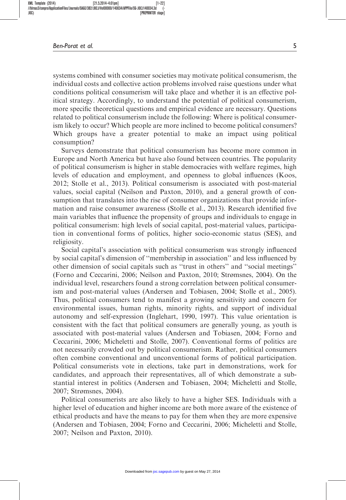systems combined with consumer societies may motivate political consumerism, the individual costs and collective action problems involved raise questions under what conditions political consumerism will take place and whether it is an effective political strategy. Accordingly, to understand the potential of political consumerism, more specific theoretical questions and empirical evidence are necessary. Questions related to political consumerism include the following: Where is political consumerism likely to occur? Which people are more inclined to become political consumers? Which groups have a greater potential to make an impact using political consumption?

Surveys demonstrate that political consumerism has become more common in Europe and North America but have also found between countries. The popularity of political consumerism is higher in stable democracies with welfare regimes, high levels of education and employment, and openness to global influences (Koos, 2012; Stolle et al., 2013). Political consumerism is associated with post-material values, social capital (Neilson and Paxton, 2010), and a general growth of consumption that translates into the rise of consumer organizations that provide information and raise consumer awareness (Stolle et al., 2013). Research identified five main variables that influence the propensity of groups and individuals to engage in political consumerism: high levels of social capital, post-material values, participation in conventional forms of politics, higher socio-economic status (SES), and religiosity.

Social capital's association with political consumerism was strongly influenced by social capital's dimension of ''membership in association'' and less influenced by other dimension of social capitals such as ''trust in others'' and ''social meetings'' (Forno and Ceccarini, 2006; Neilson and Paxton, 2010; Strømsnes, 2004). On the individual level, researchers found a strong correlation between political consumerism and post-material values (Andersen and Tobiasen, 2004; Stolle et al., 2005). Thus, political consumers tend to manifest a growing sensitivity and concern for environmental issues, human rights, minority rights, and support of individual autonomy and self-expression (Inglehart, 1990, 1997). This value orientation is consistent with the fact that political consumers are generally young, as youth is associated with post-material values (Andersen and Tobiasen, 2004; Forno and Ceccarini, 2006; Micheletti and Stolle, 2007). Conventional forms of politics are not necessarily crowded out by political consumerism. Rather, political consumers often combine conventional and unconventional forms of political participation. Political consumerists vote in elections, take part in demonstrations, work for candidates, and approach their representatives, all of which demonstrate a substantial interest in politics (Andersen and Tobiasen, 2004; Micheletti and Stolle, 2007; Strømsnes, 2004).

Political consumerists are also likely to have a higher SES. Individuals with a higher level of education and higher income are both more aware of the existence of ethical products and have the means to pay for them when they are more expensive (Andersen and Tobiasen, 2004; Forno and Ceccarini, 2006; Micheletti and Stolle, 2007; Neilson and Paxton, 2010).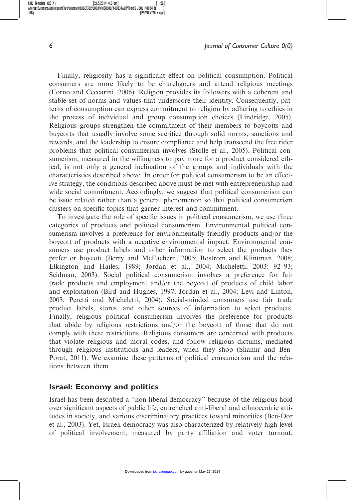Finally, religiosity has a significant effect on political consumption. Political consumers are more likely to be churchgoers and attend religious meetings (Forno and Ceccarini, 2006). Religion provides its followers with a coherent and stable set of norms and values that underscore their identity. Consequently, patterns of consumption can express commitment to religion by adhering to ethics in the process of individual and group consumption choices (Lindridge, 2005). Religious groups strengthen the commitment of their members to boycotts and buycotts that usually involve some sacrifice through solid norms, sanctions and rewards, and the leadership to ensure compliance and help transcend the free rider problems that political consumerism involves (Stolle et al., 2005). Political consumerism, measured in the willingness to pay more for a product considered ethical, is not only a general inclination of the groups and individuals with the characteristics described above. In order for political consumerism to be an effective strategy, the conditions described above must be met with entrepreneurship and wide social commitment. Accordingly, we suggest that political consumerism can be issue related rather than a general phenomenon so that political consumerism clusters on specific topics that garner interest and commitment.

To investigate the role of specific issues in political consumerism, we use three categories of products and political consumerism. Environmental political consumerism involves a preference for environmentally friendly products and/or the boycott of products with a negative environmental impact. Environmental consumers use product labels and other information to select the products they prefer or boycott (Berry and McEachern, 2005; Bostrom and Klintman, 2008; Elkington and Hailes, 1989; Jordan et al., 2004; Micheletti, 2003: 92–93; Seidman, 2003). Social political consumerism involves a preference for fair trade products and employment and/or the boycott of products of child labor and exploitation (Bird and Hughes, 1997; Jordan et al., 2004; Levi and Linton, 2003; Peretti and Micheletti, 2004). Social-minded consumers use fair trade product labels, stores, and other sources of information to select products. Finally, religious political consumerism involves the preference for products that abide by religious restrictions and/or the boycott of those that do not comply with these restrictions. Religious consumers are concerned with products that violate religious and moral codes, and follow religious dictums, mediated through religious institutions and leaders, when they shop (Shamir and Ben-Porat, 2011). We examine these patterns of political consumerism and the relations between them.

## Israel: Economy and politics

Israel has been described a ''non-liberal democracy'' because of the religious hold over significant aspects of public life, entrenched anti-liberal and ethnocentric attitudes in society, and various discriminatory practices toward minorities (Ben-Dor et al., 2003). Yet, Israeli democracy was also characterized by relatively high level of political involvement, measured by party affiliation and voter turnout.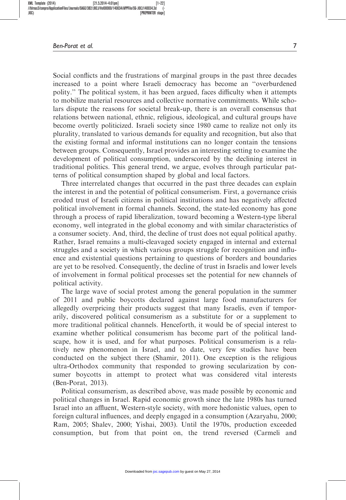Social conflicts and the frustrations of marginal groups in the past three decades increased to a point where Israeli democracy has become an ''overburdened polity.'' The political system, it has been argued, faces difficulty when it attempts to mobilize material resources and collective normative commitments. While scholars dispute the reasons for societal break-up, there is an overall consensus that relations between national, ethnic, religious, ideological, and cultural groups have become overtly politicized. Israeli society since 1980 came to realize not only its plurality, translated to various demands for equality and recognition, but also that the existing formal and informal institutions can no longer contain the tensions between groups. Consequently, Israel provides an interesting setting to examine the development of political consumption, underscored by the declining interest in traditional politics. This general trend, we argue, evolves through particular patterns of political consumption shaped by global and local factors.

Three interrelated changes that occurred in the past three decades can explain the interest in and the potential of political consumerism. First, a governance crisis eroded trust of Israeli citizens in political institutions and has negatively affected political involvement in formal channels. Second, the state-led economy has gone through a process of rapid liberalization, toward becoming a Western-type liberal economy, well integrated in the global economy and with similar characteristics of a consumer society. And, third, the decline of trust does not equal political apathy. Rather, Israel remains a multi-cleavaged society engaged in internal and external struggles and a society in which various groups struggle for recognition and influence and existential questions pertaining to questions of borders and boundaries are yet to be resolved. Consequently, the decline of trust in Israelis and lower levels of involvement in formal political processes set the potential for new channels of political activity.

The large wave of social protest among the general population in the summer of 2011 and public boycotts declared against large food manufacturers for allegedly overpricing their products suggest that many Israelis, even if temporarily, discovered political consumerism as a substitute for or a supplement to more traditional political channels. Henceforth, it would be of special interest to examine whether political consumerism has become part of the political landscape, how it is used, and for what purposes. Political consumerism is a relatively new phenomenon in Israel, and to date, very few studies have been conducted on the subject there (Shamir, 2011). One exception is the religious ultra-Orthodox community that responded to growing secularization by consumer boycotts in attempt to protect what was considered vital interests (Ben-Porat, 2013).

Political consumerism, as described above, was made possible by economic and political changes in Israel. Rapid economic growth since the late 1980s has turned Israel into an affluent, Western-style society, with more hedonistic values, open to foreign cultural influences, and deeply engaged in a consumption (Azaryahu, 2000; Ram, 2005; Shalev, 2000; Yishai, 2003). Until the 1970s, production exceeded consumption, but from that point on, the trend reversed (Carmeli and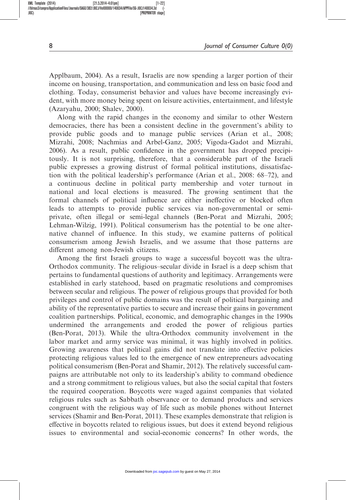Applbaum, 2004). As a result, Israelis are now spending a larger portion of their income on housing, transportation, and communication and less on basic food and clothing. Today, consumerist behavior and values have become increasingly evident, with more money being spent on leisure activities, entertainment, and lifestyle (Azaryahu, 2000; Shalev, 2000).

Along with the rapid changes in the economy and similar to other Western democracies, there has been a consistent decline in the government's ability to provide public goods and to manage public services (Arian et al., 2008; Mizrahi, 2008; Nachmias and Arbel-Ganz, 2005; Vigoda-Gadot and Mizrahi, 2006). As a result, public confidence in the government has dropped precipitously. It is not surprising, therefore, that a considerable part of the Israeli public expresses a growing distrust of formal political institutions, dissatisfaction with the political leadership's performance (Arian et al., 2008: 68–72), and a continuous decline in political party membership and voter turnout in national and local elections is measured. The growing sentiment that the formal channels of political influence are either ineffective or blocked often leads to attempts to provide public services via non-governmental or semiprivate, often illegal or semi-legal channels (Ben-Porat and Mizrahi, 2005; Lehman-Wilzig, 1991). Political consumerism has the potential to be one alternative channel of influence. In this study, we examine patterns of political consumerism among Jewish Israelis, and we assume that those patterns are different among non-Jewish citizens.

Among the first Israeli groups to wage a successful boycott was the ultra-Orthodox community. The religious–secular divide in Israel is a deep schism that pertains to fundamental questions of authority and legitimacy. Arrangements were established in early statehood, based on pragmatic resolutions and compromises between secular and religious. The power of religious groups that provided for both privileges and control of public domains was the result of political bargaining and ability of the representative parties to secure and increase their gains in government coalition partnerships. Political, economic, and demographic changes in the 1990s undermined the arrangements and eroded the power of religious parties (Ben-Porat, 2013). While the ultra-Orthodox community involvement in the labor market and army service was minimal, it was highly involved in politics. Growing awareness that political gains did not translate into effective policies protecting religious values led to the emergence of new entrepreneurs advocating political consumerism (Ben-Porat and Shamir, 2012). The relatively successful campaigns are attributable not only to its leadership's ability to command obedience and a strong commitment to religious values, but also the social capital that fosters the required cooperation. Boycotts were waged against companies that violated religious rules such as Sabbath observance or to demand products and services congruent with the religious way of life such as mobile phones without Internet services (Shamir and Ben-Porat, 2011). These examples demonstrate that religion is effective in boycotts related to religious issues, but does it extend beyond religious issues to environmental and social-economic concerns? In other words, the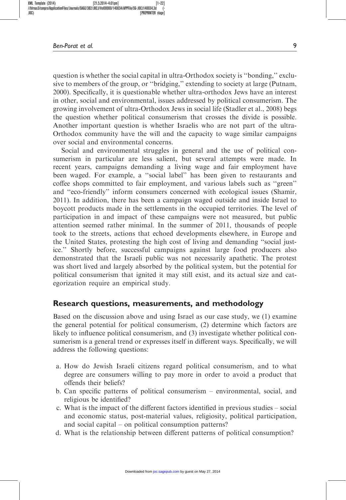question is whether the social capital in ultra-Orthodox society is ''bonding,'' exclusive to members of the group, or ''bridging,'' extending to society at large (Putnam, 2000). Specifically, it is questionable whether ultra-orthodox Jews have an interest in other, social and environmental, issues addressed by political consumerism. The growing involvement of ultra-Orthodox Jews in social life (Stadler et al., 2008) begs the question whether political consumerism that crosses the divide is possible. Another important question is whether Israelis who are not part of the ultra-Orthodox community have the will and the capacity to wage similar campaigns over social and environmental concerns.

Social and environmental struggles in general and the use of political consumerism in particular are less salient, but several attempts were made. In recent years, campaigns demanding a living wage and fair employment have been waged. For example, a ''social label'' has been given to restaurants and coffee shops committed to fair employment, and various labels such as ''green'' and ''eco-friendly'' inform consumers concerned with ecological issues (Shamir, 2011). In addition, there has been a campaign waged outside and inside Israel to boycott products made in the settlements in the occupied territories. The level of participation in and impact of these campaigns were not measured, but public attention seemed rather minimal. In the summer of 2011, thousands of people took to the streets, actions that echoed developments elsewhere, in Europe and the United States, protesting the high cost of living and demanding ''social justice.'' Shortly before, successful campaigns against large food producers also demonstrated that the Israeli public was not necessarily apathetic. The protest was short lived and largely absorbed by the political system, but the potential for political consumerism that ignited it may still exist, and its actual size and categorization require an empirical study.

## Research questions, measurements, and methodology

Based on the discussion above and using Israel as our case study, we (1) examine the general potential for political consumerism, (2) determine which factors are likely to influence political consumerism, and (3) investigate whether political consumerism is a general trend or expresses itself in different ways. Specifically, we will address the following questions:

- a. How do Jewish Israeli citizens regard political consumerism, and to what degree are consumers willing to pay more in order to avoid a product that offends their beliefs?
- b. Can specific patterns of political consumerism environmental, social, and religious be identified?
- c. What is the impact of the different factors identified in previous studies social and economic status, post-material values, religiosity, political participation, and social capital – on political consumption patterns?
- d. What is the relationship between different patterns of political consumption?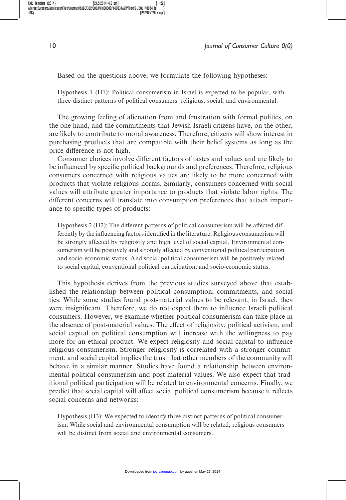Based on the questions above, we formulate the following hypotheses:

Hypothesis 1 (H1): Political consumerism in Israel is expected to be popular, with three distinct patterns of political consumers: religious, social, and environmental.

The growing feeling of alienation from and frustration with formal politics, on the one hand, and the commitments that Jewish Israeli citizens have, on the other, are likely to contribute to moral awareness. Therefore, citizens will show interest in purchasing products that are compatible with their belief systems as long as the price difference is not high.

Consumer choices involve different factors of tastes and values and are likely to be influenced by specific political backgrounds and preferences. Therefore, religious consumers concerned with religious values are likely to be more concerned with products that violate religious norms. Similarly, consumers concerned with social values will attribute greater importance to products that violate labor rights. The different concerns will translate into consumption preferences that attach importance to specific types of products:

Hypothesis 2 (H2): The different patterns of political consumerism will be affected differently by the influencing factors identified in the literature. Religious consumerism will be strongly affected by religiosity and high level of social capital. Environmental consumerism will be positively and strongly affected by conventional political participation and socio-economic status. And social political consumerism will be positively related to social capital, conventional political participation, and socio-economic status.

This hypothesis derives from the previous studies surveyed above that established the relationship between political consumption, commitments, and social ties. While some studies found post-material values to be relevant, in Israel, they were insignificant. Therefore, we do not expect them to influence Israeli political consumers. However, we examine whether political consumerism can take place in the absence of post-material values. The effect of religiosity, political activism, and social capital on political consumption will increase with the willingness to pay more for an ethical product. We expect religiosity and social capital to influence religious consumerism. Stronger religiosity is correlated with a stronger commitment, and social capital implies the trust that other members of the community will behave in a similar manner. Studies have found a relationship between environmental political consumerism and post-material values. We also expect that traditional political participation will be related to environmental concerns. Finally, we predict that social capital will affect social political consumerism because it reflects social concerns and networks:

Hypothesis (H3): We expected to identify three distinct patterns of political consumerism. While social and environmental consumption will be related, religious consumers will be distinct from social and environmental consumers.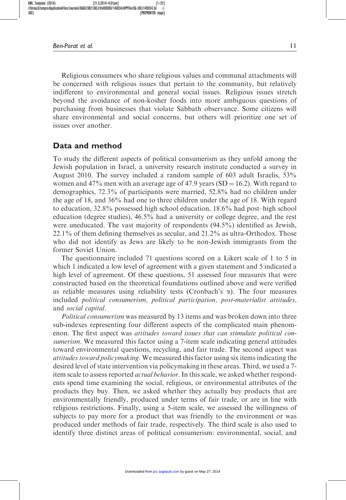Religious consumers who share religious values and communal attachments will be concerned with religious issues that pertain to the community, but relatively indifferent to environmental and general social issues. Religious issues stretch beyond the avoidance of non-kosher foods into more ambiguous questions of purchasing from businesses that violate Sabbath observance. Some citizens will share environmental and social concerns, but others will prioritize one set of issues over another.

## Data and method

To study the different aspects of political consumerism as they unfold among the Jewish population in Israel, a university research institute conducted a survey in August 2010. The survey included a random sample of 603 adult Israelis, 53% women and 47% men with an average age of 47.9 years (SD = 16.2). With regard to demographics, 72.3% of participants were married, 52.8% had no children under the age of 18, and 36% had one to three children under the age of 18. With regard to education, 32.8% possessed high school education, 18.6% had post–high school education (degree studies), 46.5% had a university or college degree, and the rest were uneducated. The vast majority of respondents (94.5%) identified as Jewish, 22.1% of them defining themselves as secular, and 21.2% as ultra-Orthodox. Those who did not identify as Jews are likely to be non-Jewish immigrants from the former Soviet Union.

The questionnaire included 71 questions scored on a Likert scale of 1 to 5 in which 1 indicated a low level of agreement with a given statement and 5 indicated a high level of agreement. Of these questions, 51 assessed four measures that were constructed based on the theoretical foundations outlined above and were verified as reliable measures using reliability tests (Cronbach's  $\alpha$ ). The four measures included political consumerism, political participation, post-materialist attitudes, and social capital.

Political consumerism was measured by 13 items and was broken down into three sub-indexes representing four different aspects of the complicated main phenomenon. The first aspect was attitudes toward issues that can stimulate political consumerism. We measured this factor using a 7-item scale indicating general attitudes toward environmental questions, recycling, and fair trade. The second aspect was attitudes toward policymaking. We measured this factor using six items indicating the desired level of state intervention via policymaking in these areas. Third, we used a 7 item scale to assess reported actual behavior. In this scale, we asked whether respondents spend time examining the social, religious, or environmental attributes of the products they buy. Then, we asked whether they actually buy products that are environmentally friendly, produced under terms of fair trade, or are in line with religious restrictions. Finally, using a 5-item scale, we assessed the willingness of subjects to pay more for a product that was friendly to the environment or was produced under methods of fair trade, respectively. The third scale is also used to identify three distinct areas of political consumerism: environmental, social, and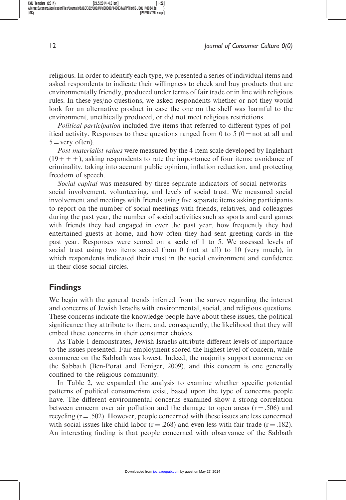religious. In order to identify each type, we presented a series of individual items and asked respondents to indicate their willingness to check and buy products that are environmentally friendly, produced under terms of fair trade or in line with religious rules. In these yes/no questions, we asked respondents whether or not they would look for an alternative product in case the one on the shelf was harmful to the environment, unethically produced, or did not meet religious restrictions.

Political participation included five items that referred to different types of political activity. Responses to these questions ranged from 0 to 5 ( $0 =$ not at all and  $5 = \text{very often}$ .

Post-materialist values were measured by the 4-item scale developed by Inglehart  $(19 + + +)$ , asking respondents to rate the importance of four items: avoidance of criminality, taking into account public opinion, inflation reduction, and protecting freedom of speech.

Social capital was measured by three separate indicators of social networks – social involvement, volunteering, and levels of social trust. We measured social involvement and meetings with friends using five separate items asking participants to report on the number of social meetings with friends, relatives, and colleagues during the past year, the number of social activities such as sports and card games with friends they had engaged in over the past year, how frequently they had entertained guests at home, and how often they had sent greeting cards in the past year. Responses were scored on a scale of 1 to 5. We assessed levels of social trust using two items scored from 0 (not at all) to 10 (very much), in which respondents indicated their trust in the social environment and confidence in their close social circles.

## Findings

We begin with the general trends inferred from the survey regarding the interest and concerns of Jewish Israelis with environmental, social, and religious questions. These concerns indicate the knowledge people have about these issues, the political significance they attribute to them, and, consequently, the likelihood that they will embed these concerns in their consumer choices.

As Table 1 demonstrates, Jewish Israelis attribute different levels of importance to the issues presented. Fair employment scored the highest level of concern, while commerce on the Sabbath was lowest. Indeed, the majority support commerce on the Sabbath (Ben-Porat and Feniger, 2009), and this concern is one generally confined to the religious community.

In Table 2, we expanded the analysis to examine whether specific potential patterns of political consumerism exist, based upon the type of concerns people have. The different environmental concerns examined show a strong correlation between concern over air pollution and the damage to open areas  $(r = .506)$  and recycling  $(r = .502)$ . However, people concerned with these issues are less concerned with social issues like child labor ( $r = .268$ ) and even less with fair trade ( $r = .182$ ). An interesting finding is that people concerned with observance of the Sabbath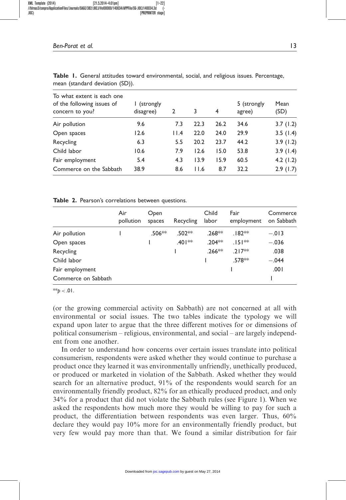| To what extent is each one<br>of the following issues of<br>concern to you? | (strongly<br>disagree) | 2    | 3    | 4    | 5 (strongly<br>agree) | Mean<br>(SD) |
|-----------------------------------------------------------------------------|------------------------|------|------|------|-----------------------|--------------|
| Air pollution                                                               | 9.6                    | 7.3  | 22.3 | 26.2 | 34.6                  | 3.7(1.2)     |
| Open spaces                                                                 | 12.6                   | 11.4 | 22.0 | 24.0 | 29.9                  | 3.5(1.4)     |
| Recycling                                                                   | 6.3                    | 5.5  | 20.2 | 23.7 | 44.2                  | 3.9(1.2)     |
| Child labor                                                                 | 10.6                   | 7.9  | 12.6 | 15.0 | 53.8                  | 3.9(1.4)     |
| Fair employment                                                             | 5.4                    | 4.3  | 13.9 | 15.9 | 60.5                  | 4.2(1.2)     |
| Commerce on the Sabbath                                                     | 38.9                   | 8.6  | 11.6 | 8.7  | 32.2                  | 2.9(1.7)     |

Table 1. General attitudes toward environmental, social, and religious issues. Percentage, mean (standard deviation (SD)).

Table 2. Pearson's correlations between questions.

|                     | Air<br>pollution | Open<br>spaces | Recycling | Child<br>labor | Fair<br>employment | Commerce<br>on Sabbath |
|---------------------|------------------|----------------|-----------|----------------|--------------------|------------------------|
| Air pollution       |                  | .506**         | .502**    | 268**          | $.182**$           | $-.013$                |
| Open spaces         |                  |                | $.401**$  | $.204***$      | $.151**$           | $-.036$                |
| Recycling           |                  |                |           | $.266***$      | $217**$            | .038                   |
| Child labor         |                  |                |           |                | .578**             | $-.044$                |
| Fair employment     |                  |                |           |                |                    | .001                   |
| Commerce on Sabbath |                  |                |           |                |                    |                        |

\*\* $p < .01$ .

(or the growing commercial activity on Sabbath) are not concerned at all with environmental or social issues. The two tables indicate the typology we will expand upon later to argue that the three different motives for or dimensions of political consumerism – religious, environmental, and social – are largely independent from one another.

In order to understand how concerns over certain issues translate into political consumerism, respondents were asked whether they would continue to purchase a product once they learned it was environmentally unfriendly, unethically produced, or produced or marketed in violation of the Sabbath. Asked whether they would search for an alternative product, 91% of the respondents would search for an environmentally friendly product, 82% for an ethically produced product, and only 34% for a product that did not violate the Sabbath rules (see Figure 1). When we asked the respondents how much more they would be willing to pay for such a product, the differentiation between respondents was even larger. Thus, 60% declare they would pay 10% more for an environmentally friendly product, but very few would pay more than that. We found a similar distribution for fair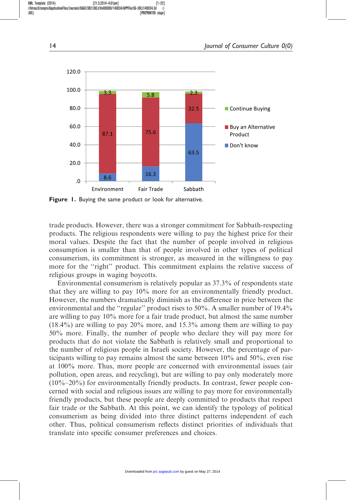

Figure 1. Buying the same product or look for alternative.

trade products. However, there was a stronger commitment for Sabbath-respecting products. The religious respondents were willing to pay the highest price for their moral values. Despite the fact that the number of people involved in religious consumption is smaller than that of people involved in other types of political consumerism, its commitment is stronger, as measured in the willingness to pay more for the "right" product. This commitment explains the relative success of religious groups in waging boycotts.

Environmental consumerism is relatively popular as 37.3% of respondents state that they are willing to pay 10% more for an environmentally friendly product. However, the numbers dramatically diminish as the difference in price between the environmental and the "regular" product rises to 50%. A smaller number of 19.4% are willing to pay 10% more for a fair trade product, but almost the same number (18.4%) are willing to pay 20% more, and 15.3% among them are willing to pay 50% more. Finally, the number of people who declare they will pay more for products that do not violate the Sabbath is relatively small and proportional to the number of religious people in Israeli society. However, the percentage of participants willing to pay remains almost the same between 10% and 50%, even rise at 100% more. Thus, more people are concerned with environmental issues (air pollution, open areas, and recycling), but are willing to pay only moderately more (10%–20%) for environmentally friendly products. In contrast, fewer people concerned with social and religious issues are willing to pay more for environmentally friendly products, but these people are deeply committed to products that respect fair trade or the Sabbath. At this point, we can identify the typology of political consumerism as being divided into three distinct patterns independent of each other. Thus, political consumerism reflects distinct priorities of individuals that translate into specific consumer preferences and choices.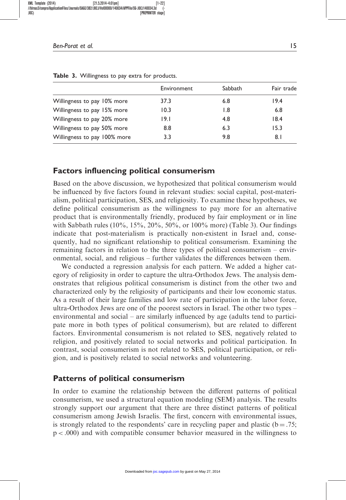|                              | Environment | Sabbath | Fair trade |
|------------------------------|-------------|---------|------------|
| Willingness to pay 10% more  | 37.3        | 6.8     | 19.4       |
| Willingness to pay 15% more  | 10.3        | 1.8     | 6.8        |
| Willingness to pay 20% more  | 19. I       | 4.8     | 18.4       |
| Willingness to pay 50% more  | 8.8         | 6.3     | 15.3       |
| Willingness to pay 100% more | 3.3         | 9.8     | 8.1        |

Table 3. Willingness to pay extra for products.

## Factors influencing political consumerism

Based on the above discussion, we hypothesized that political consumerism would be influenced by five factors found in relevant studies: social capital, post-materialism, political participation, SES, and religiosity. To examine these hypotheses, we define political consumerism as the willingness to pay more for an alternative product that is environmentally friendly, produced by fair employment or in line with Sabbath rules (10%, 15%, 20%, 50%, or 100% more) (Table 3). Our findings indicate that post-materialism is practically non-existent in Israel and, consequently, had no significant relationship to political consumerism. Examining the remaining factors in relation to the three types of political consumerism – environmental, social, and religious – further validates the differences between them.

We conducted a regression analysis for each pattern. We added a higher category of religiosity in order to capture the ultra-Orthodox Jews. The analysis demonstrates that religious political consumerism is distinct from the other two and characterized only by the religiosity of participants and their low economic status. As a result of their large families and low rate of participation in the labor force, ultra-Orthodox Jews are one of the poorest sectors in Israel. The other two types – environmental and social – are similarly influenced by age (adults tend to participate more in both types of political consumerism), but are related to different factors. Environmental consumerism is not related to SES, negatively related to religion, and positively related to social networks and political participation. In contrast, social consumerism is not related to SES, political participation, or religion, and is positively related to social networks and volunteering.

## Patterns of political consumerism

In order to examine the relationship between the different patterns of political consumerism, we used a structural equation modeling (SEM) analysis. The results strongly support our argument that there are three distinct patterns of political consumerism among Jewish Israelis. The first, concern with environmental issues, is strongly related to the respondents' care in recycling paper and plastic ( $b = .75$ ; p < .000) and with compatible consumer behavior measured in the willingness to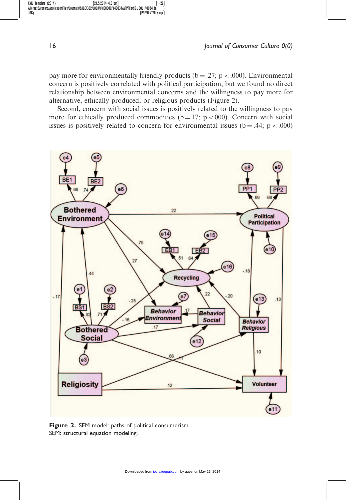pay more for environmentally friendly products ( $b = .27$ ; p < .000). Environmental concern is positively correlated with political participation, but we found no direct relationship between environmental concerns and the willingness to pay more for alternative, ethically produced, or religious products (Figure 2).

Second, concern with social issues is positively related to the willingness to pay more for ethically produced commodities ( $b = 17$ ;  $p < 000$ ). Concern with social issues is positively related to concern for environmental issues ( $b = .44$ ;  $p < .000$ )



Figure 2. SEM model: paths of political consumerism. SEM: structural equation modeling.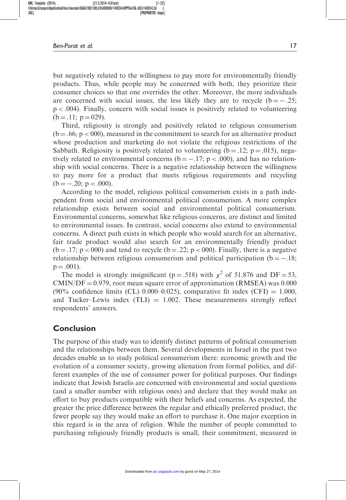but negatively related to the willingness to pay more for environmentally friendly products. Thus, while people may be concerned with both, they prioritize their consumer choices so that one overrides the other. Moreover, the more individuals are concerned with social issues, the less likely they are to recycle  $(b = -0.25;$ p < .004). Finally, concern with social issues is positively related to volunteering  $(b = .11; p = 029).$ 

Third, religiosity is strongly and positively related to religious consumerism  $(b = .66; p < 000)$ , measured in the commitment to search for an alternative product whose production and marketing do not violate the religious restrictions of the Sabbath. Religiosity is positively related to volunteering  $(b = .12; p = .015)$ , negatively related to environmental concerns ( $b = -.17$ ;  $p < .000$ ), and has no relationship with social concerns. There is a negative relationship between the willingness to pay more for a product that meets religious requirements and recycling  $(b = -.20; p < .000).$ 

According to the model, religious political consumerism exists in a path independent from social and environmental political consumerism. A more complex relationship exists between social and environmental political consumerism. Environmental concerns, somewhat like religious concerns, are distinct and limited to environmental issues. In contrast, social concerns also extend to environmental concerns. A direct path exists in which people who would search for an alternative, fair trade product would also search for an environmentally friendly product  $(b = .17; p < 000)$  and tend to recycle  $(b = .22; p < 000)$ . Finally, there is a negative relationship between religious consumerism and political participation  $(b = -18)$ ;  $p = .001$ ).

The model is strongly insignificant (p = .518) with  $\chi^2$  of 51.876 and DF = 53,  $CMIN/DF = 0.979$ , root mean square error of approximation (RMSEA) was 0.000 (90% confidence limits (CL) 0.000–0.025), comparative fit index (CFI) =  $1.000$ , and Tucker–Lewis index (TLI)  $= 1.002$ . These measurements strongly reflect respondents' answers.

## Conclusion

The purpose of this study was to identify distinct patterns of political consumerism and the relationships between them. Several developments in Israel in the past two decades enable us to study political consumerism there: economic growth and the evolution of a consumer society, growing alienation from formal politics, and different examples of the use of consumer power for political purposes. Our findings indicate that Jewish Israelis are concerned with environmental and social questions (and a smaller number with religious ones) and declare that they would make an effort to buy products compatible with their beliefs and concerns. As expected, the greater the price difference between the regular and ethically preferred product, the fewer people say they would make an effort to purchase it. One major exception in this regard is in the area of religion. While the number of people committed to purchasing religiously friendly products is small, their commitment, measured in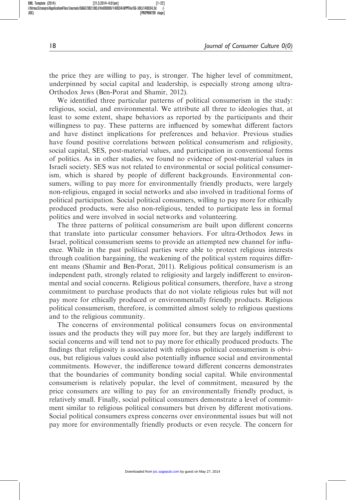the price they are willing to pay, is stronger. The higher level of commitment, underpinned by social capital and leadership, is especially strong among ultra-Orthodox Jews (Ben-Porat and Shamir, 2012).

We identified three particular patterns of political consumerism in the study: religious, social, and environmental. We attribute all three to ideologies that, at least to some extent, shape behaviors as reported by the participants and their willingness to pay. These patterns are influenced by somewhat different factors and have distinct implications for preferences and behavior. Previous studies have found positive correlations between political consumerism and religiosity, social capital, SES, post-material values, and participation in conventional forms of politics. As in other studies, we found no evidence of post-material values in Israeli society. SES was not related to environmental or social political consumerism, which is shared by people of different backgrounds. Environmental consumers, willing to pay more for environmentally friendly products, were largely non-religious, engaged in social networks and also involved in traditional forms of political participation. Social political consumers, willing to pay more for ethically produced products, were also non-religious, tended to participate less in formal politics and were involved in social networks and volunteering.

The three patterns of political consumerism are built upon different concerns that translate into particular consumer behaviors. For ultra-Orthodox Jews in Israel, political consumerism seems to provide an attempted new channel for influence. While in the past political parties were able to protect religious interests through coalition bargaining, the weakening of the political system requires different means (Shamir and Ben-Porat, 2011). Religious political consumerism is an independent path, strongly related to religiosity and largely indifferent to environmental and social concerns. Religious political consumers, therefore, have a strong commitment to purchase products that do not violate religious rules but will not pay more for ethically produced or environmentally friendly products. Religious political consumerism, therefore, is committed almost solely to religious questions and to the religious community.

The concerns of environmental political consumers focus on environmental issues and the products they will pay more for, but they are largely indifferent to social concerns and will tend not to pay more for ethically produced products. The findings that religiosity is associated with religious political consumerism is obvious, but religious values could also potentially influence social and environmental commitments. However, the indifference toward different concerns demonstrates that the boundaries of community bonding social capital. While environmental consumerism is relatively popular, the level of commitment, measured by the price consumers are willing to pay for an environmentally friendly product, is relatively small. Finally, social political consumers demonstrate a level of commitment similar to religious political consumers but driven by different motivations. Social political consumers express concerns over environmental issues but will not pay more for environmentally friendly products or even recycle. The concern for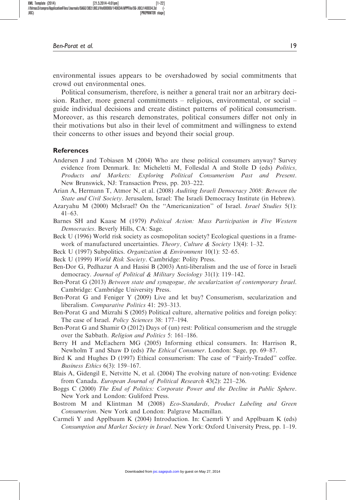environmental issues appears to be overshadowed by social commitments that crowd out environmental ones.

Political consumerism, therefore, is neither a general trait nor an arbitrary decision. Rather, more general commitments – religious, environmental, or social – guide individual decisions and create distinct patterns of political consumerism. Moreover, as this research demonstrates, political consumers differ not only in their motivations but also in their level of commitment and willingness to extend their concerns to other issues and beyond their social group.

#### References

- Andersen J and Tobiasen M (2004) Who are these political consumers anyway? Survey evidence from Denmark. In: Micheletti M, Follesdal A and Stolle D (eds) Politics, Products and Markets: Exploring Political Consumerism Past and Present. New Brunswick, NJ: Transaction Press, pp. 203–222.
- Arian A, Hermann T, Atmor N, et al. (2008) Auditing Israeli Democracy 2008: Between the State and Civil Society. Jerusalem, Israel: The Israeli Democracy Institute (in Hebrew).
- Azaryahu M (2000) McIsrael? On the ''Americanization'' of Israel. Israel Studies 5(1): 41–63.
- Barnes SH and Kaase M (1979) Political Action: Mass Participation in Five Western Democracies. Beverly Hills, CA: Sage.
- Beck U (1996) World risk society as cosmopolitan society? Ecological questions in a framework of manufactured uncertainties. Theory, Culture & Society 13(4):  $1-32$ .
- Beck U (1997) Subpolitics. Organization & Environment 10(1): 52–65.
- Beck U (1999) World Risk Society. Cambridge: Polity Press.
- Ben-Dor G, Pedhazur A and Hasisi B (2003) Anti-liberalism and the use of force in Israeli democracy. Journal of Political & Military Sociology 31(1): 119–142.
- Ben-Porat G (2013) Between state and synagogue, the secularization of contemporary Israel. Cambridge: Cambridge University Press.
- Ben-Porat G and Feniger Y (2009) Live and let buy? Consumerism, secularization and liberalism. Comparative Politics 41: 293–313.
- Ben-Porat G and Mizrahi S (2005) Political culture, alternative politics and foreign policy: The case of Israel. Policy Sciences 38: 177–194.
- Ben-Porat G and Shamir O (2012) Days of (un) rest: Political consumerism and the struggle over the Sabbath. Religion and Politics 5: 161–186.
- Berry H and McEachern MG (2005) Informing ethical consumers. In: Harrison R, Newholm T and Shaw D (eds) *The Ethical Consumer*. London: Sage, pp. 69–87.
- Bird K and Hughes D (1997) Ethical consumerism: The case of ''Fairly-Traded'' coffee. Business Ethics 6(3): 159–167.
- Blais A, Gidengil E, Netvitte N, et al. (2004) The evolving nature of non-voting: Evidence from Canada. European Journal of Political Research 43(2): 221–236.
- Boggs C (2000) The End of Politics: Corporate Power and the Decline in Public Sphere. New York and London: Guliford Press.
- Bostrom M and Klintman M (2008) Eco-Standards, Product Labeling and Green Consumerism. New York and London: Palgrave Macmillan.
- Carmeli Y and Applbaum K (2004) Introduction. In: Caemrli Y and Applbuam K (eds) Consumption and Market Society in Israel. New York: Oxford University Press, pp. 1–19.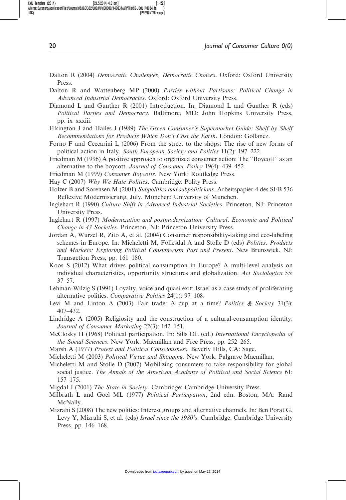- Dalton R (2004) Democratic Challenges, Democratic Choices. Oxford: Oxford University Press.
- Dalton R and Wattenberg MP (2000) Parties without Partisans: Political Change in Advanced Industrial Democracies. Oxford: Oxford University Press.
- Diamond L and Gunther R (2001) Introduction. In: Diamond L and Gunther R (eds) Political Parties and Democracy. Baltimore, MD: John Hopkins University Press, pp. ix–xxxiii.
- Elkington J and Hailes J (1989) The Green Consumer's Supermarket Guide: Shelf by Shelf Recommendations for Products Which Don't Cost the Earth. London: Gollancz.
- Forno F and Ceccarini L (2006) From the street to the shops: The rise of new forms of political action in Italy. South European Society and Politics 11(2): 197-222.
- Friedman M (1996) A positive approach to organized consumer action: The ''Boycott'' as an alternative to the boycott. Journal of Consumer Policy 19(4): 439–452.
- Friedman M (1999) Consumer Boycotts. New York: Routledge Press.
- Hay C (2007) Why We Hate Politics. Cambridge: Polity Press.
- Holzer B and Sorensen M (2001) Subpolitics and subpoliticians. Arbeitspapier 4 des SFB 536 Reflexive Modernisierung, July. Munchen: University of Munchen.
- Inglehart R (1990) Culture Shift in Advanced Industrial Societies. Princeton, NJ: Princeton University Press.
- Inglehart R (1997) Modernization and postmodernization: Cultural, Economic and Political Change in 43 Societies. Princeton, NJ: Princeton University Press.
- Jordan A, Wurzel R, Zito A, et al. (2004) Consumer responsibility-taking and eco-labeling schemes in Europe. In: Micheletti M, Follesdal A and Stolle D (eds) Politics, Products and Markets: Exploring Political Consumerism Past and Present. New Brunswick, NJ: Transaction Press, pp. 161–180.
- Koos S (2012) What drives political consumption in Europe? A multi-level analysis on individual characteristics, opportunity structures and globalization. Act Sociologica 55: 37–57.
- Lehman-Wilzig S (1991) Loyalty, voice and quasi-exit: Israel as a case study of proliferating alternative politics. Comparative Politics 24(1): 97–108.
- Levi M and Linton A (2003) Fair trade: A cup at a time? Politics  $\&$  Society 31(3): 407–432.
- Lindridge A (2005) Religiosity and the construction of a cultural-consumption identity. Journal of Consumer Marketing 22(3): 142–151.
- McClosky H (1968) Political participation. In: Sills DL (ed.) International Encyclopedia of the Social Sciences. New York: Macmillan and Free Press, pp. 252–265.
- Marsh A (1977) Protest and Political Consciousness. Beverly Hills, CA: Sage.
- Micheletti M (2003) Political Virtue and Shopping. New York: Palgrave Macmillan.
- Micheletti M and Stolle D (2007) Mobilizing consumers to take responsibility for global social justice. The Annals of the American Academy of Political and Social Science 61: 157–175.
- Migdal J (2001) The State in Society. Cambridge: Cambridge University Press.
- Milbrath L and Goel ML (1977) Political Participation, 2nd edn. Boston, MA: Rand McNally.
- Mizrahi S (2008) The new politics: Interest groups and alternative channels. In: Ben Porat G, Levy Y, Mizrahi S, et al. (eds) Israel since the 1980's. Cambridge: Cambridge University Press, pp. 146–168.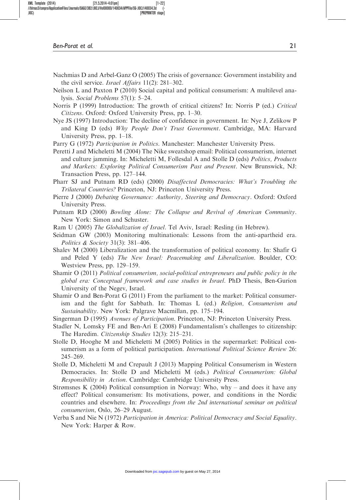- Nachmias D and Arbel-Ganz O (2005) The crisis of governance: Government instability and the civil service. Israel Affairs 11(2): 281–302.
- Neilson L and Paxton P (2010) Social capital and political consumerism: A multilevel analysis. Social Problems 57(1): 5–24.
- Norris P (1999) Introduction: The growth of critical citizens? In: Norris P (ed.) Critical Citizens. Oxford: Oxford University Press, pp. 1–30.
- Nye JS (1997) Introduction: The decline of confidence in government. In: Nye J, Zelikow P and King D (eds) Why People Don't Trust Government. Cambridge, MA: Harvard University Press, pp. 1–18.
- Parry G (1972) Participation in Politics. Manchester: Manchester University Press.
- Peretti J and Micheletti M (2004) The Nike sweatshop email: Political consumerism, internet and culture jamming. In: Micheletti M, Follesdal A and Stolle D (eds) Politics, Products and Markets: Exploring Political Consumerism Past and Present. New Brunswick, NJ: Transaction Press, pp. 127–144.
- Pharr SJ and Putnam RD (eds) (2000) Disaffected Democracies: What's Troubling the Trilateral Countries? Princeton, NJ: Princeton University Press.
- Pierre J (2000) Debating Governance: Authority, Steering and Democracy. Oxford: Oxford University Press.
- Putnam RD (2000) Bowling Alone: The Collapse and Revival of American Community. New York: Simon and Schuster.
- Ram U (2005) The Globalization of Israel. Tel Aviv, Israel: Resling (in Hebrew).
- Seidman GW (2003) Monitoring multinationals: Lessons from the anti-apartheid era. Politics & Society 31(3): 381–406.
- Shalev M (2000) Liberalization and the transformation of political economy. In: Shafir G and Peled Y (eds) The New Israel: Peacemaking and Liberalization. Boulder, CO: Westview Press, pp. 129–159.
- Shamir O (2011) Political consumerism, social-political entrepreneurs and public policy in the global era: Conceptual framework and case studies in Israel. PhD Thesis, Ben-Gurion University of the Negev, Israel.
- Shamir O and Ben-Porat G (2011) From the parliament to the market: Political consumerism and the fight for Sabbath. In: Thomas L (ed.) Religion, Consumerism and Sustainability. New York: Palgrave Macmillan, pp. 175–194.
- Singerman D (1995) Avenues of Participation. Princeton, NJ: Princeton University Press.
- Stadler N, Lomsky FE and Ben-Ari E (2008) Fundamentalism's challenges to citizenship: The Haredim. Citizenship Studies 12(3): 215–231.
- Stolle D, Hooghe M and Micheletti M (2005) Politics in the supermarket: Political consumerism as a form of political participation. *International Political Science Review* 26: 245–269.
- Stolle D, Micheletti M and Crepault J (2013) Mapping Political Consumerism in Western Democracies. In: Stolle D and Micheletti M (eds.) Political Consumerism: Global Responsibility in Action. Cambridge: Cambridge University Press.
- Strømsnes K (2004) Political consumption in Norway: Who, why and does it have any effect? Political consumerism: Its motivations, power, and conditions in the Nordic countries and elsewhere. In: Proceedings from the 2nd international seminar on political consumerism, Oslo, 26–29 August.
- Verba S and Nie N (1972) Participation in America: Political Democracy and Social Equality. New York: Harper & Row.